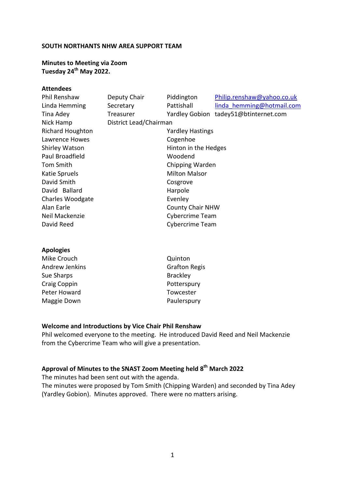#### **SOUTH NORTHANTS NHW AREA SUPPORT TEAM**

**Minutes to Meeting via Zoom Tuesday 24th May 2022.**

#### **Attendees**

| Phil Renshaw            | Deputy Chair            | Piddington              | Philip.renshaw@yahoo.co.uk |
|-------------------------|-------------------------|-------------------------|----------------------------|
| Linda Hemming           | Secretary               | Pattishall              | linda hemming@hotmail.com  |
| Tina Adey               | Treasurer               | <b>Yardley Gobion</b>   | tadey51@btinternet.com     |
| Nick Hamp               | District Lead/Chairman  |                         |                            |
| <b>Richard Houghton</b> | <b>Yardley Hastings</b> |                         |                            |
| Lawrence Howes          | Cogenhoe                |                         |                            |
| <b>Shirley Watson</b>   | Hinton in the Hedges    |                         |                            |
| Paul Broadfield         |                         | Woodend                 |                            |
| Tom Smith               | Chipping Warden         |                         |                            |
| Katie Spruels           |                         | <b>Milton Malsor</b>    |                            |
| David Smith             | Cosgrove                |                         |                            |
| David Ballard           |                         | Harpole                 |                            |
| <b>Charles Woodgate</b> |                         | Evenley                 |                            |
| Alan Earle              |                         | <b>County Chair NHW</b> |                            |
| Neil Mackenzie          |                         | Cybercrime Team         |                            |
| David Reed              |                         | Cybercrime Team         |                            |
|                         |                         |                         |                            |
|                         |                         |                         |                            |

#### **Apologies**

| Mike Crouch           | Quinton              |
|-----------------------|----------------------|
| <b>Andrew Jenkins</b> | <b>Grafton Regis</b> |
| Sue Sharps            | <b>Brackley</b>      |
| Craig Coppin          | Potterspury          |
| Peter Howard          | Towcester            |
| Maggie Down           | Paulerspury          |
|                       |                      |

#### **Welcome and Introductions by Vice Chair Phil Renshaw**

Phil welcomed everyone to the meeting. He introduced David Reed and Neil Mackenzie from the Cybercrime Team who will give a presentation.

# **Approval of Minutes to the SNAST Zoom Meeting held 8th March 2022**

The minutes had been sent out with the agenda.

The minutes were proposed by Tom Smith (Chipping Warden) and seconded by Tina Adey (Yardley Gobion). Minutes approved. There were no matters arising.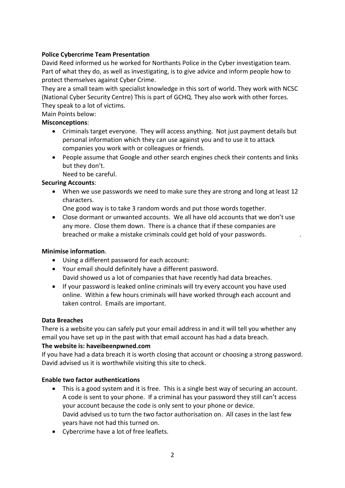# **Police Cybercrime Team Presentation**

David Reed informed us he worked for Northants Police in the Cyber investigation team. Part of what they do, as well as investigating, is to give advice and inform people how to protect themselves against Cyber Crime.

They are a small team with specialist knowledge in this sort of world. They work with NCSC (National Cyber Security Centre) This is part of GCHQ. They also work with other forces. They speak to a lot of victims.

Main Points below:

# **Misconceptions**:

- Criminals target everyone. They will access anything. Not just payment details but personal information which they can use against you and to use it to attack companies you work with or colleagues or friends.
- People assume that Google and other search engines check their contents and links but they don't.

Need to be careful.

# **Securing Accounts**:

• When we use passwords we need to make sure they are strong and long at least 12 characters.

One good way is to take 3 random words and put those words together.

• Close dormant or unwanted accounts. We all have old accounts that we don't use any more. Close them down. There is a chance that if these companies are breached or make a mistake criminals could get hold of your passwords. .

## **Minimise information**.

- Using a different password for each account:
- Your email should definitely have a different password. David showed us a lot of companies that have recently had data breaches.
- If your password is leaked online criminals will try every account you have used online. Within a few hours criminals will have worked through each account and taken control. Emails are important.

## **Data Breaches**

There is a website you can safely put your email address in and it will tell you whether any email you have set up in the past with that email account has had a data breach.

## **The website is: haveibeenpwned.com**

If you have had a data breach it is worth closing that account or choosing a strong password. David advised us it is worthwhile visiting this site to check.

## **Enable two factor authentications**

- This is a good system and it is free. This is a single best way of securing an account. A code is sent to your phone. If a criminal has your password they still can't access your account because the code is only sent to your phone or device. David advised us to turn the two factor authorisation on. All cases in the last few years have not had this turned on.
- Cybercrime have a lot of free leaflets.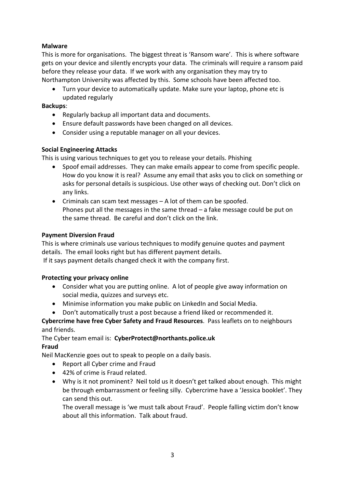# **Malware**

This is more for organisations. The biggest threat is 'Ransom ware'. This is where software gets on your device and silently encrypts your data. The criminals will require a ransom paid before they release your data. If we work with any organisation they may try to Northampton University was affected by this. Some schools have been affected too.

• Turn your device to automatically update. Make sure your laptop, phone etc is updated regularly

## **Backups**:

- Regularly backup all important data and documents.
- Ensure default passwords have been changed on all devices.
- Consider using a reputable manager on all your devices.

# **Social Engineering Attacks**

This is using various techniques to get you to release your details. Phishing

- Spoof email addresses. They can make emails appear to come from specific people. How do you know it is real? Assume any email that asks you to click on something or asks for personal details is suspicious. Use other ways of checking out. Don't click on any links.
- Criminals can scam text messages A lot of them can be spoofed. Phones put all the messages in the same thread – a fake message could be put on the same thread. Be careful and don't click on the link.

## **Payment Diversion Fraud**

This is where criminals use various techniques to modify genuine quotes and payment details. The email looks right but has different payment details.

If it says payment details changed check it with the company first.

## **Protecting your privacy online**

- Consider what you are putting online. A lot of people give away information on social media, quizzes and surveys etc.
- Minimise information you make public on LinkedIn and Social Media.
- Don't automatically trust a post because a friend liked or recommended it.

# **Cybercrime have free Cyber Safety and Fraud Resources**. Pass leaflets on to neighbours and friends.

The Cyber team email is: **CyberProtect@northants.police.uk**

## **Fraud**

Neil MacKenzie goes out to speak to people on a daily basis.

- Report all Cyber crime and Fraud
- 42% of crime is Fraud related.
- Why is it not prominent? Neil told us it doesn't get talked about enough. This might be through embarrassment or feeling silly. Cybercrime have a 'Jessica booklet'. They can send this out.

The overall message is 'we must talk about Fraud'. People falling victim don't know about all this information. Talk about fraud.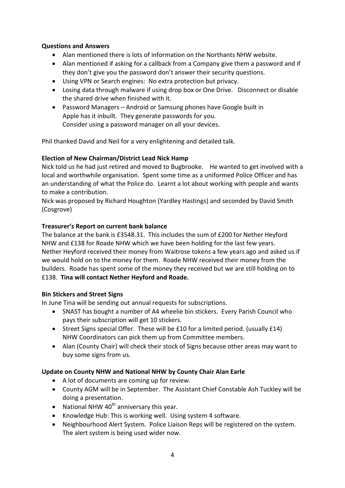## **Questions and Answers**

- Alan mentioned there is lots of information on the Northants NHW website.
- Alan mentioned if asking for a callback from a Company give them a password and if they don't give you the password don't answer their security questions.
- Using VPN or Search engines: No extra protection but privacy.
- Losing data through malware if using drop box or One Drive. Disconnect or disable the shared drive when finished with it.
- Password Managers Android or Samsung phones have Google built in Apple has it inbuilt. They generate passwords for you. Consider using a password manager on all your devices.

Phil thanked David and Neil for a very enlightening and detailed talk.

## **Election of New Chairman/District Lead Nick Hamp**

Nick told us he had just retired and moved to Bugbrooke. He wanted to get involved with a local and worthwhile organisation. Spent some time as a uniformed Police Officer and has an understanding of what the Police do. Learnt a lot about working with people and wants to make a contribution.

Nick was proposed by Richard Houghton (Yardley Hastings) and seconded by David Smith (Cosgrove)

#### **Treasurer's Report on current bank balance**

The balance at the bank is £3548.31. This includes the sum of £200 for Nether Heyford NHW and £138 for Roade NHW which we have been holding for the last few years. Nether Heyford received their money from Waitrose tokens a few years ago and asked us if we would hold on to the money for them. Roade NHW received their money from the builders. Roade has spent some of the money they received but we are still holding on to £138. **Tina will contact Nether Heyford and Roade.**

#### **Bin Stickers and Street Signs**

In June Tina will be sending out annual requests for subscriptions.

- SNAST has bought a number of A4 wheelie bin stickers. Every Parish Council who pays their subscription will get 10 stickers.
- Street Signs special Offer. These will be £10 for a limited period. (usually £14) NHW Coordinators can pick them up from Committee members.
- Alan (County Chair) will check their stock of Signs because other areas may want to buy some signs from us.

## **Update on County NHW and National NHW by County Chair Alan Earle**

- A lot of documents are coming up for review.
- County AGM will be in September. The Assistant Chief Constable Ash Tuckley will be doing a presentation.
- National NHW  $40<sup>th</sup>$  anniversary this year.
- Knowledge Hub: This is working well. Using system 4 software.
- Neighbourhood Alert System. Police Liaison Reps will be registered on the system. The alert system is being used wider now.